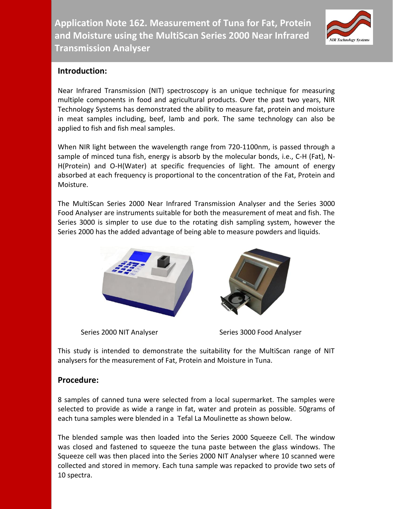**Application Note 162. Measurement of Tuna for Fat, Protein and Moisture using the MultiScan Series 2000 Near Infrared Transmission Analyser**



## **Introduction:**

Near Infrared Transmission (NIT) spectroscopy is an unique technique for measuring multiple components in food and agricultural products. Over the past two years, NIR Technology Systems has demonstrated the ability to measure fat, protein and moisture in meat samples including, beef, lamb and pork. The same technology can also be applied to fish and fish meal samples.

When NIR light between the wavelength range from 720-1100nm, is passed through a sample of minced tuna fish, energy is absorb by the molecular bonds, i.e., C-H (Fat), N-H(Protein) and O-H(Water) at specific frequencies of light. The amount of energy absorbed at each frequency is proportional to the concentration of the Fat, Protein and Moisture.

The MultiScan Series 2000 Near Infrared Transmission Analyser and the Series 3000 Food Analyser are instruments suitable for both the measurement of meat and fish. The Series 3000 is simpler to use due to the rotating dish sampling system, however the Series 2000 has the added advantage of being able to measure powders and liquids.



Series 2000 NIT Analyser Series 3000 Food Analyser

This study is intended to demonstrate the suitability for the MultiScan range of NIT analysers for the measurement of Fat, Protein and Moisture in Tuna.

## **Procedure:**

8 samples of canned tuna were selected from a local supermarket. The samples were selected to provide as wide a range in fat, water and protein as possible. 50grams of each tuna samples were blended in a Tefal La Moulinette as shown below.

The blended sample was then loaded into the Series 2000 Squeeze Cell. The window was closed and fastened to squeeze the tuna paste between the glass windows. The Squeeze cell was then placed into the Series 2000 NIT Analyser where 10 scanned were collected and stored in memory. Each tuna sample was repacked to provide two sets of 10 spectra.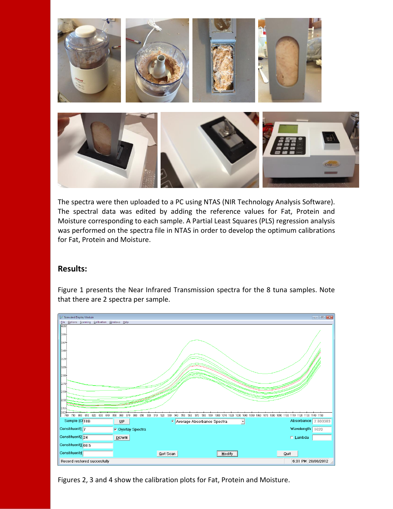

The spectra were then uploaded to a PC using NTAS (NIR Technology Analysis Software). The spectral data was edited by adding the reference values for Fat, Protein and Moisture corresponding to each sample. A Partial Least Squares (PLS) regression analysis was performed on the spectra file in NTAS in order to develop the optimum calibrations for Fat, Protein and Moisture.

## **Results:**



Figure 1 presents the Near Infrared Transmission spectra for the 8 tuna samples. Note that there are 2 spectra per sample.

Figures 2, 3 and 4 show the calibration plots for Fat, Protein and Moisture.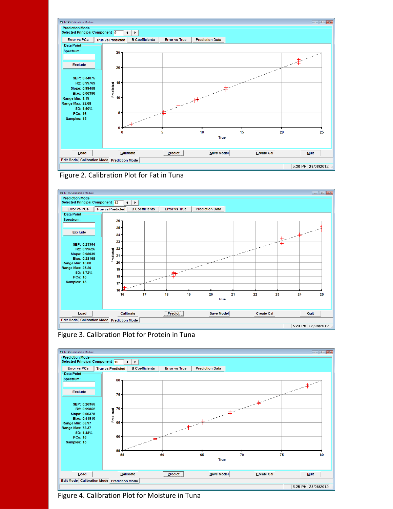





Figure 3. Calibration Plot for Protein in Tuna



Figure 4. Calibration Plot for Moisture in Tuna